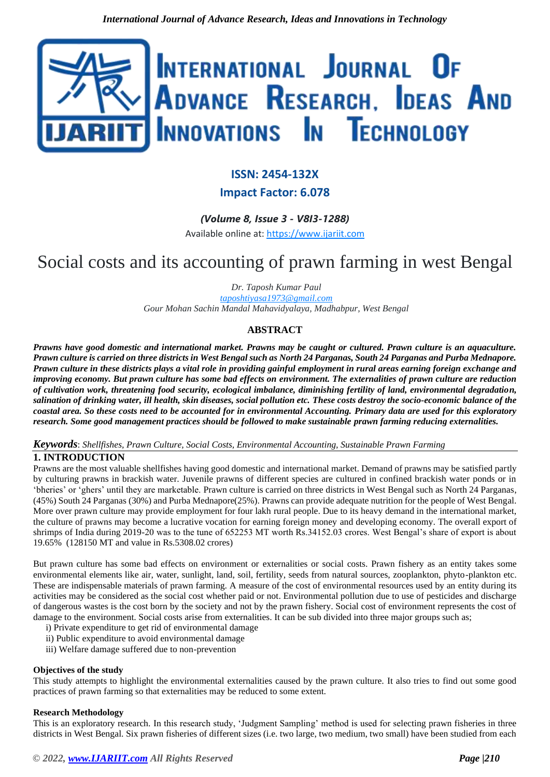

# **ISSN: 2454-132X**

# **Impact Factor: 6.078**

*(Volume 8, Issue 3 - V8I3-1288)* Available online at: [https://www.ijariit.com](https://www.ijariit.com/?utm_source=pdf&utm_medium=edition&utm_campaign=OmAkSols&utm_term=V8I3-1288)

# Social costs and its accounting of prawn farming in west Bengal

*Dr. Taposh Kumar Paul*

*[taposhtiyasa1973@gmail.com](mailto:taposhtiyasa1973@gmail.com) Gour Mohan Sachin Mandal Mahavidyalaya, Madhabpur, West Bengal*

# **ABSTRACT**

*Prawns have good domestic and international market. Prawns may be caught or cultured. Prawn culture is an aquaculture. Prawn culture is carried on three districts in West Bengal such as North 24 Parganas, South 24 Parganas and Purba Mednapore. Prawn culture in these districts plays a vital role in providing gainful employment in rural areas earning foreign exchange and improving economy. But prawn culture has some bad effects on environment. The externalities of prawn culture are reduction of cultivation work, threatening food security, ecological imbalance, diminishing fertility of land, environmental degradation, salination of drinking water, ill health, skin diseases, social pollution etc. These costs destroy the socio-economic balance of the coastal area. So these costs need to be accounted for in environmental Accounting. Primary data are used for this exploratory research. Some good management practices should be followed to make sustainable prawn farming reducing externalities.*

#### *Keywords*: *Shellfishes, Prawn Culture, Social Costs, Environmental Accounting, Sustainable Prawn Farming*

# **1. INTRODUCTION**

Prawns are the most valuable shellfishes having good domestic and international market. Demand of prawns may be satisfied partly by culturing prawns in brackish water. Juvenile prawns of different species are cultured in confined brackish water ponds or in 'bheries' or 'ghers' until they are marketable. Prawn culture is carried on three districts in West Bengal such as North 24 Parganas, (45%) South 24 Parganas (30%) and Purba Mednapore(25%). Prawns can provide adequate nutrition for the people of West Bengal. More over prawn culture may provide employment for four lakh rural people. Due to its heavy demand in the international market, the culture of prawns may become a lucrative vocation for earning foreign money and developing economy. The overall export of shrimps of India during 2019-20 was to the tune of 652253 MT worth Rs.34152.03 crores. West Bengal's share of export is about 19.65% (128150 MT and value in Rs.5308.02 crores)

But prawn culture has some bad effects on environment or externalities or social costs. Prawn fishery as an entity takes some environmental elements like air, water, sunlight, land, soil, fertility, seeds from natural sources, zooplankton, phyto-plankton etc. These are indispensable materials of prawn farming. A measure of the cost of environmental resources used by an entity during its activities may be considered as the social cost whether paid or not. Environmental pollution due to use of pesticides and discharge of dangerous wastes is the cost born by the society and not by the prawn fishery. Social cost of environment represents the cost of damage to the environment. Social costs arise from externalities. It can be sub divided into three major groups such as;

- i) Private expenditure to get rid of environmental damage
- ii) Public expenditure to avoid environmental damage
- iii) Welfare damage suffered due to non-prevention

#### **Objectives of the study**

This study attempts to highlight the environmental externalities caused by the prawn culture. It also tries to find out some good practices of prawn farming so that externalities may be reduced to some extent.

#### **Research Methodology**

This is an exploratory research. In this research study, 'Judgment Sampling' method is used for selecting prawn fisheries in three districts in West Bengal. Six prawn fisheries of different sizes (i.e. two large, two medium, two small) have been studied from each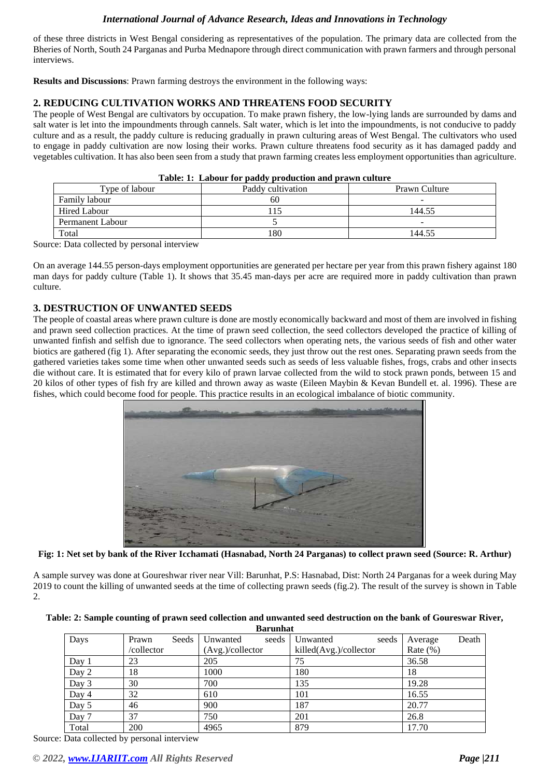of these three districts in West Bengal considering as representatives of the population. The primary data are collected from the Bheries of North, South 24 Parganas and Purba Mednapore through direct communication with prawn farmers and through personal interviews.

**Results and Discussions**: Prawn farming destroys the environment in the following ways:

#### **2. REDUCING CULTIVATION WORKS AND THREATENS FOOD SECURITY**

The people of West Bengal are cultivators by occupation. To make prawn fishery, the low-lying lands are surrounded by dams and salt water is let into the impoundments through cannels. Salt water, which is let into the impoundments, is not conducive to paddy culture and as a result, the paddy culture is reducing gradually in prawn culturing areas of West Bengal. The cultivators who used to engage in paddy cultivation are now losing their works. Prawn culture threatens food security as it has damaged paddy and vegetables cultivation. It has also been seen from a study that prawn farming creates less employment opportunities than agriculture.

| Tublet It Endows for pagay progression and prayer candite |                   |                          |  |  |  |
|-----------------------------------------------------------|-------------------|--------------------------|--|--|--|
| Type of labour                                            | Paddy cultivation | Prawn Culture            |  |  |  |
| Family labour                                             | 60                | $\overline{\phantom{a}}$ |  |  |  |
| <b>Hired Labour</b>                                       | 15                | 144.55                   |  |  |  |
| Permanent Labour                                          |                   | $\overline{\phantom{a}}$ |  |  |  |
| Total                                                     | 180               | 144.55                   |  |  |  |

| Table: 1: Labour for paddy production and prawn culture |  |
|---------------------------------------------------------|--|
|---------------------------------------------------------|--|

Source: Data collected by personal interview

On an average 144.55 person-days employment opportunities are generated per hectare per year from this prawn fishery against 180 man days for paddy culture (Table 1). It shows that 35.45 man-days per acre are required more in paddy cultivation than prawn culture.

#### **3. DESTRUCTION OF UNWANTED SEEDS**

The people of coastal areas where prawn culture is done are mostly economically backward and most of them are involved in fishing and prawn seed collection practices. At the time of prawn seed collection, the seed collectors developed the practice of killing of unwanted finfish and selfish due to ignorance. The seed collectors when operating nets, the various seeds of fish and other water biotics are gathered (fig 1). After separating the economic seeds, they just throw out the rest ones. Separating prawn seeds from the gathered varieties takes some time when other unwanted seeds such as seeds of less valuable fishes, frogs, crabs and other insects die without care. It is estimated that for every kilo of prawn larvae collected from the wild to stock prawn ponds, between 15 and 20 kilos of other types of fish fry are killed and thrown away as waste (Eileen Maybin & Kevan Bundell et. al. 1996). These are fishes, which could become food for people. This practice results in an ecological imbalance of biotic community.



**Fig: 1: Net set by bank of the River Icchamati (Hasnabad, North 24 Parganas) to collect prawn seed (Source: R. Arthur)**

A sample survey was done at Goureshwar river near Vill: Barunhat, P.S: Hasnabad, Dist: North 24 Parganas for a week during May 2019 to count the killing of unwanted seeds at the time of collecting prawn seeds (fig.2). The result of the survey is shown in Table 2.

| Table: 2: Sample counting of prawn seed collection and unwanted seed destruction on the bank of Goureswar River, |
|------------------------------------------------------------------------------------------------------------------|
|------------------------------------------------------------------------------------------------------------------|

| <b>Barunhat</b> |            |       |                  |       |                        |       |             |       |
|-----------------|------------|-------|------------------|-------|------------------------|-------|-------------|-------|
| Days            | Prawn      | Seeds | Unwanted         | seeds | Unwanted               | seeds | Average     | Death |
|                 | /collector |       | (Avg.)/collector |       | killed(Avg.)/collector |       | Rate $(\%)$ |       |
| Day $1$         | 23         |       | 205              |       | 75                     |       | 36.58       |       |
| Day 2           | 18         |       | 1000             |       | 180                    |       | 18          |       |
| Day 3           | 30         |       | 700              |       | 135                    |       | 19.28       |       |
| Day 4           | 32         |       | 610              |       | 101                    |       | 16.55       |       |
| Day 5           | 46         |       | 900              |       | 187                    |       | 20.77       |       |
| Day 7           | 37         |       | 750              |       | 201                    |       | 26.8        |       |
| Total           | 200        |       | 4965             |       | 879                    |       | 17.70       |       |

Source: Data collected by personal interview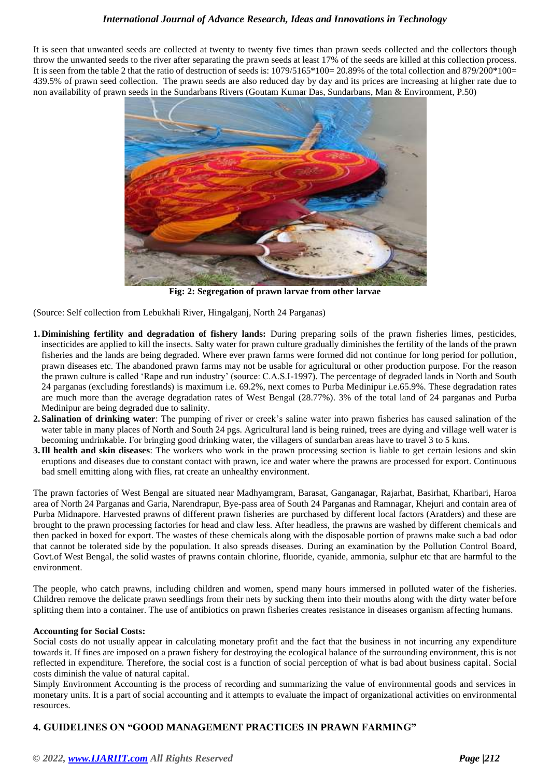It is seen that unwanted seeds are collected at twenty to twenty five times than prawn seeds collected and the collectors though throw the unwanted seeds to the river after separating the prawn seeds at least 17% of the seeds are killed at this collection process. It is seen from the table 2 that the ratio of destruction of seeds is: 1079/5165\*100= 20.89% of the total collection and 879/200\*100= 439.5% of prawn seed collection. The prawn seeds are also reduced day by day and its prices are increasing at higher rate due to non availability of prawn seeds in the Sundarbans Rivers (Goutam Kumar Das, Sundarbans, Man & Environment, P.50)



**Fig: 2: Segregation of prawn larvae from other larvae**

(Source: Self collection from Lebukhali River, Hingalganj, North 24 Parganas)

- **1. Diminishing fertility and degradation of fishery lands:** During preparing soils of the prawn fisheries limes, pesticides, insecticides are applied to kill the insects. Salty water for prawn culture gradually diminishes the fertility of the lands of the prawn fisheries and the lands are being degraded. Where ever prawn farms were formed did not continue for long period for pollution, prawn diseases etc. The abandoned prawn farms may not be usable for agricultural or other production purpose. For the reason the prawn culture is called 'Rape and run industry' (source: C.A.S.I-1997). The percentage of degraded lands in North and South 24 parganas (excluding forestlands) is maximum i.e. 69.2%, next comes to Purba Medinipur i.e.65.9%. These degradation rates are much more than the average degradation rates of West Bengal (28.77%). 3% of the total land of 24 parganas and Purba Medinipur are being degraded due to salinity.
- **2. Salination of drinking water**: The pumping of river or creek's saline water into prawn fisheries has caused salination of the water table in many places of North and South 24 pgs. Agricultural land is being ruined, trees are dying and village well water is becoming undrinkable. For bringing good drinking water, the villagers of sundarban areas have to travel 3 to 5 kms.
- **3. Ill health and skin diseases**: The workers who work in the prawn processing section is liable to get certain lesions and skin eruptions and diseases due to constant contact with prawn, ice and water where the prawns are processed for export. Continuous bad smell emitting along with flies, rat create an unhealthy environment.

The prawn factories of West Bengal are situated near Madhyamgram, Barasat, Ganganagar, Rajarhat, Basirhat, Kharibari, Haroa area of North 24 Parganas and Garia, Narendrapur, Bye-pass area of South 24 Parganas and Ramnagar, Khejuri and contain area of Purba Midnapore. Harvested prawns of different prawn fisheries are purchased by different local factors (Aratders) and these are brought to the prawn processing factories for head and claw less. After headless, the prawns are washed by different chemicals and then packed in boxed for export. The wastes of these chemicals along with the disposable portion of prawns make such a bad odor that cannot be tolerated side by the population. It also spreads diseases. During an examination by the Pollution Control Board, Govt.of West Bengal, the solid wastes of prawns contain chlorine, fluoride, cyanide, ammonia, sulphur etc that are harmful to the environment.

The people, who catch prawns, including children and women, spend many hours immersed in polluted water of the fisheries. Children remove the delicate prawn seedlings from their nets by sucking them into their mouths along with the dirty water before splitting them into a container. The use of antibiotics on prawn fisheries creates resistance in diseases organism affecting humans.

#### **Accounting for Social Costs:**

Social costs do not usually appear in calculating monetary profit and the fact that the business in not incurring any expenditure towards it. If fines are imposed on a prawn fishery for destroying the ecological balance of the surrounding environment, this is not reflected in expenditure. Therefore, the social cost is a function of social perception of what is bad about business capital. Social costs diminish the value of natural capital.

Simply Environment Accounting is the process of recording and summarizing the value of environmental goods and services in monetary units. It is a part of social accounting and it attempts to evaluate the impact of organizational activities on environmental resources.

#### **4. GUIDELINES ON "GOOD MANAGEMENT PRACTICES IN PRAWN FARMING"**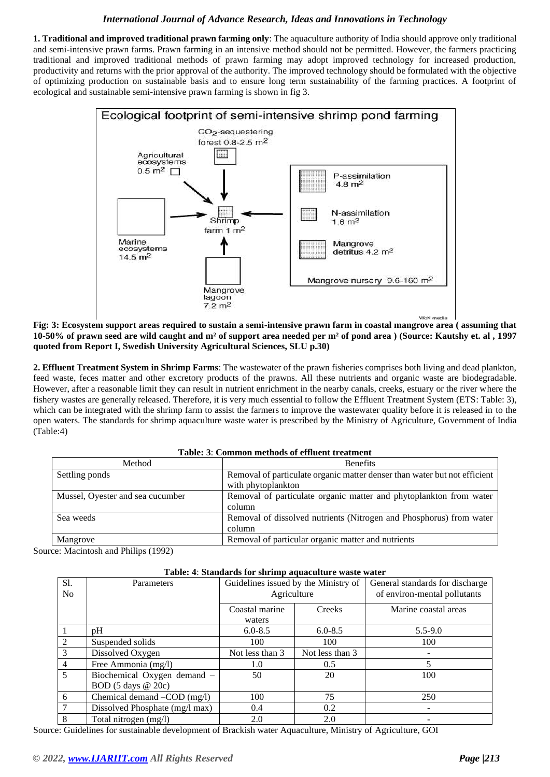**1. Traditional and improved traditional prawn farming only**: The aquaculture authority of India should approve only traditional and semi-intensive prawn farms. Prawn farming in an intensive method should not be permitted. However, the farmers practicing traditional and improved traditional methods of prawn farming may adopt improved technology for increased production, productivity and returns with the prior approval of the authority. The improved technology should be formulated with the objective of optimizing production on sustainable basis and to ensure long term sustainability of the farming practices. A footprint of ecological and sustainable semi-intensive prawn farming is shown in fig 3.



**Fig: 3: Ecosystem support areas required to sustain a semi-intensive prawn farm in coastal mangrove area ( assuming that 10-50% of prawn seed are wild caught and m² of support area needed per m² of pond area ) (Source: Kautshy et. al , 1997 quoted from Report I, Swedish University Agricultural Sciences, SLU p.30)**

**2. Effluent Treatment System in Shrimp Farms**: The wastewater of the prawn fisheries comprises both living and dead plankton, feed waste, feces matter and other excretory products of the prawns. All these nutrients and organic waste are biodegradable. However, after a reasonable limit they can result in nutrient enrichment in the nearby canals, creeks, estuary or the river where the fishery wastes are generally released. Therefore, it is very much essential to follow the Effluent Treatment System (ETS: Table: 3), which can be integrated with the shrimp farm to assist the farmers to improve the wastewater quality before it is released in to the open waters. The standards for shrimp aquaculture waste water is prescribed by the Ministry of Agriculture, Government of India (Table:4)

| таріе: Э. Соницоп шепіриз от епіцені ігеаппені |                                                                                                 |  |  |  |
|------------------------------------------------|-------------------------------------------------------------------------------------------------|--|--|--|
| Method                                         | <b>Benefits</b>                                                                                 |  |  |  |
| Settling ponds                                 | Removal of particulate organic matter denser than water but not efficient<br>with phytoplankton |  |  |  |
| Mussel, Oyester and sea cucumber               | Removal of particulate organic matter and phytoplankton from water<br>column                    |  |  |  |
| Sea weeds                                      | Removal of dissolved nutrients (Nitrogen and Phosphorus) from water<br>column                   |  |  |  |
| Mangrove                                       | Removal of particular organic matter and nutrients                                              |  |  |  |

**Table: 3**: **Common methods of effluent treatment**

Source: Macintosh and Philips (1992)

| S1.<br>N <sub>o</sub> | Parameters                                                                                          | Guidelines issued by the Ministry of<br>Agriculture |                 | General standards for discharge<br>of environ-mental pollutants |  |
|-----------------------|-----------------------------------------------------------------------------------------------------|-----------------------------------------------------|-----------------|-----------------------------------------------------------------|--|
|                       |                                                                                                     | Coastal marine<br>waters                            | Creeks          | Marine coastal areas                                            |  |
|                       | pH                                                                                                  | $6.0 - 8.5$                                         | $6.0 - 8.5$     | $5.5 - 9.0$                                                     |  |
|                       | Suspended solids                                                                                    | 100                                                 | 100             | 100                                                             |  |
| $\frac{2}{3}$         | Dissolved Oxygen                                                                                    | Not less than 3                                     | Not less than 3 |                                                                 |  |
| $\overline{4}$        | Free Ammonia (mg/l)                                                                                 | 1.0                                                 | 0.5             |                                                                 |  |
| $\overline{5}$        | Biochemical Oxygen demand -<br>BOD $(5 \text{ days } @ 20c)$                                        | 50                                                  | 20              | 100                                                             |  |
| $6\phantom{.}6$       | Chemical demand –COD (mg/l)                                                                         | 100                                                 | 75              | 250                                                             |  |
| $\overline{7}$        | Dissolved Phosphate (mg/l max)                                                                      | 0.4                                                 | 0.2             |                                                                 |  |
| 8                     | Total nitrogen (mg/l)                                                                               | 2.0                                                 | 2.0             |                                                                 |  |
|                       | Cuidelines for sustainable development of Prescript weter Agueselture, Ministry of Agriculture, COI |                                                     |                 |                                                                 |  |

**Table: 4**: **Standards for shrimp aquaculture waste water**

Source: Guidelines for sustainable development of Brackish water Aquaculture, Ministry of Agriculture, GOI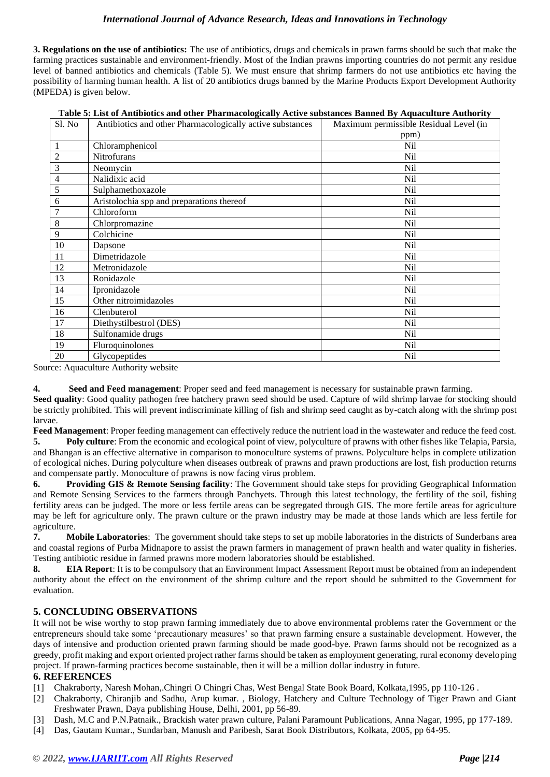**3. Regulations on the use of antibiotics:** The use of antibiotics, drugs and chemicals in prawn farms should be such that make the farming practices sustainable and environment-friendly. Most of the Indian prawns importing countries do not permit any residue level of banned antibiotics and chemicals (Table 5). We must ensure that shrimp farmers do not use antibiotics etc having the possibility of harming human health. A list of 20 antibiotics drugs banned by the Marine Products Export Development Authority (MPEDA) is given below.

| Table 5: List of Antibiotics and other Pharmacologically Active substances Banned By Aquaculture Authority |  |  |  |
|------------------------------------------------------------------------------------------------------------|--|--|--|
|                                                                                                            |  |  |  |

| Sl. No         | Antibiotics and other Pharmacologically active substances | Maximum permissible Residual Level (in |
|----------------|-----------------------------------------------------------|----------------------------------------|
|                |                                                           | ppm)                                   |
| $\mathbf{1}$   | Chloramphenicol                                           | <b>Nil</b>                             |
| $\overline{2}$ | Nitrofurans                                               | N <sub>il</sub>                        |
| 3              | Neomycin                                                  | Nil                                    |
| $\overline{4}$ | Nalidixic acid                                            | <b>Nil</b>                             |
| 5              | Sulphamethoxazole                                         | N <sub>il</sub>                        |
| 6              | Aristolochia spp and preparations thereof                 | N <sub>il</sub>                        |
| $\overline{7}$ | Chloroform                                                | N <sub>il</sub>                        |
| 8              | Chlorpromazine                                            | N <sub>il</sub>                        |
| 9              | Colchicine                                                | <b>Nil</b>                             |
| 10             | Dapsone                                                   | N <sub>il</sub>                        |
| 11             | Dimetridazole                                             | N <sub>il</sub>                        |
| 12             | Metronidazole                                             | N <sub>il</sub>                        |
| 13             | Ronidazole                                                | N <sub>il</sub>                        |
| 14             | Ipronidazole                                              | N <sub>il</sub>                        |
| 15             | Other nitroimidazoles                                     | N <sub>il</sub>                        |
| 16             | Clenbuterol                                               | N <sub>il</sub>                        |
| 17             | Diethystilbestrol (DES)                                   | Nil                                    |
| 18             | Sulfonamide drugs                                         | N <sub>il</sub>                        |
| 19             | Fluroquinolones                                           | N <sub>il</sub>                        |
| 20             | Glycopeptides                                             | N <sub>il</sub>                        |

Source: Aquaculture Authority website

**4. Seed and Feed management**: Proper seed and feed management is necessary for sustainable prawn farming.

**Seed quality**: Good quality pathogen free hatchery prawn seed should be used. Capture of wild shrimp larvae for stocking should be strictly prohibited. This will prevent indiscriminate killing of fish and shrimp seed caught as by-catch along with the shrimp post larvae.

**Feed Management**: Proper feeding management can effectively reduce the nutrient load in the wastewater and reduce the feed cost.

**5. Poly culture**: From the economic and ecological point of view, polyculture of prawns with other fishes like Telapia, Parsia, and Bhangan is an effective alternative in comparison to monoculture systems of prawns. Polyculture helps in complete utilization of ecological niches. During polyculture when diseases outbreak of prawns and prawn productions are lost, fish production returns and compensate partly. Monoculture of prawns is now facing virus problem.

**6. Providing GIS & Remote Sensing facility**: The Government should take steps for providing Geographical Information and Remote Sensing Services to the farmers through Panchyets. Through this latest technology, the fertility of the soil, fishing fertility areas can be judged. The more or less fertile areas can be segregated through GIS. The more fertile areas for agriculture may be left for agriculture only. The prawn culture or the prawn industry may be made at those lands which are less fertile for agriculture.

**7. Mobile Laboratories**: The government should take steps to set up mobile laboratories in the districts of Sunderbans area and coastal regions of Purba Midnapore to assist the prawn farmers in management of prawn health and water quality in fisheries. Testing antibiotic residue in farmed prawns more modern laboratories should be established.

**8. EIA Report**: It is to be compulsory that an Environment Impact Assessment Report must be obtained from an independent authority about the effect on the environment of the shrimp culture and the report should be submitted to the Government for evaluation.

# **5. CONCLUDING OBSERVATIONS**

It will not be wise worthy to stop prawn farming immediately due to above environmental problems rater the Government or the entrepreneurs should take some 'precautionary measures' so that prawn farming ensure a sustainable development. However, the days of intensive and production oriented prawn farming should be made good-bye. Prawn farms should not be recognized as a greedy, profit making and export oriented project rather farms should be taken as employment generating, rural economy developing project. If prawn-farming practices become sustainable, then it will be a million dollar industry in future.

#### **6. REFERENCES**

- [1] Chakraborty, Naresh Mohan,.Chingri O Chingri Chas, West Bengal State Book Board, Kolkata,1995, pp 110-126 .
- [2] Chakraborty, Chiranjib and Sadhu, Arup kumar. , Biology, Hatchery and Culture Technology of Tiger Prawn and Giant Freshwater Prawn, Daya publishing House, Delhi, 2001, pp 56-89.
- [3] Dash, M.C and P.N.Patnaik., Brackish water prawn culture, Palani Paramount Publications, Anna Nagar, 1995, pp 177-189.
- [4] Das, Gautam Kumar., Sundarban, Manush and Paribesh, Sarat Book Distributors, Kolkata, 2005, pp 64-95.